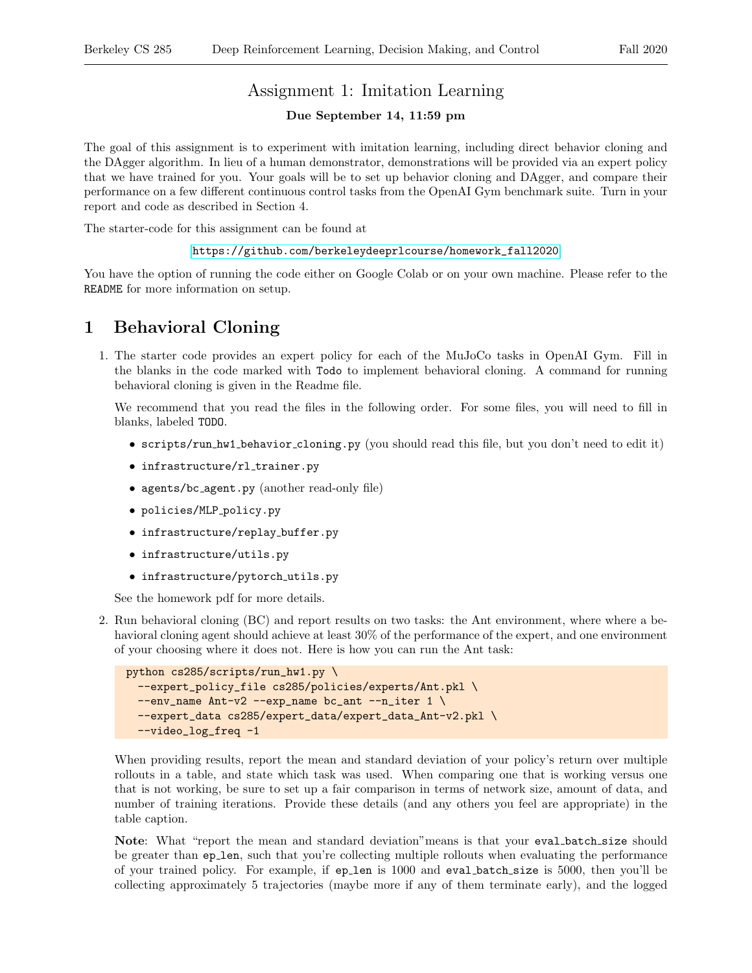# Assignment 1: Imitation Learning

#### Due September 14, 11:59 pm

The goal of this assignment is to experiment with imitation learning, including direct behavior cloning and the DAgger algorithm. In lieu of a human demonstrator, demonstrations will be provided via an expert policy that we have trained for you. Your goals will be to set up behavior cloning and DAgger, and compare their performance on a few different continuous control tasks from the OpenAI Gym benchmark suite. Turn in your report and code as described in Section 4.

The starter-code for this assignment can be found at

#### [https://github.com/berkeleydeeprlcourse/homework\\_fall2020](https://github.com/berkeleydeeprlcourse/homework_fall2020)

You have the option of running the code either on Google Colab or on your own machine. Please refer to the README for more information on setup.

## 1 Behavioral Cloning

1. The starter code provides an expert policy for each of the MuJoCo tasks in OpenAI Gym. Fill in the blanks in the code marked with Todo to implement behavioral cloning. A command for running behavioral cloning is given in the Readme file.

We recommend that you read the files in the following order. For some files, you will need to fill in blanks, labeled TODO.

- scripts/run hw1 behavior cloning.py (you should read this file, but you don't need to edit it)
- $\bullet$  infrastructure/rl\_trainer.py
- agents/bc agent.py (another read-only file)
- policies/MLP policy.py
- infrastructure/replay\_buffer.py
- infrastructure/utils.py
- infrastructure/pytorch utils.py

See the homework pdf for more details.

2. Run behavioral cloning (BC) and report results on two tasks: the Ant environment, where where a behavioral cloning agent should achieve at least 30% of the performance of the expert, and one environment of your choosing where it does not. Here is how you can run the Ant task:

```
python cs285/scripts/run_hw1.py \
 --expert_policy_file cs285/policies/experts/Ant.pkl \
--env_name Ant-v2 --exp_name bc_ant --n\_iter 1 \
--expert_data cs285/expert_data/expert_data_Ant-v2.pkl \
--video_log_freq -1
```
When providing results, report the mean and standard deviation of your policy's return over multiple rollouts in a table, and state which task was used. When comparing one that is working versus one that is not working, be sure to set up a fair comparison in terms of network size, amount of data, and number of training iterations. Provide these details (and any others you feel are appropriate) in the table caption.

Note: What "report the mean and standard deviation" means is that your eval batch size should be greater than ep len, such that you're collecting multiple rollouts when evaluating the performance of your trained policy. For example, if ep len is 1000 and eval batch size is 5000, then you'll be collecting approximately 5 trajectories (maybe more if any of them terminate early), and the logged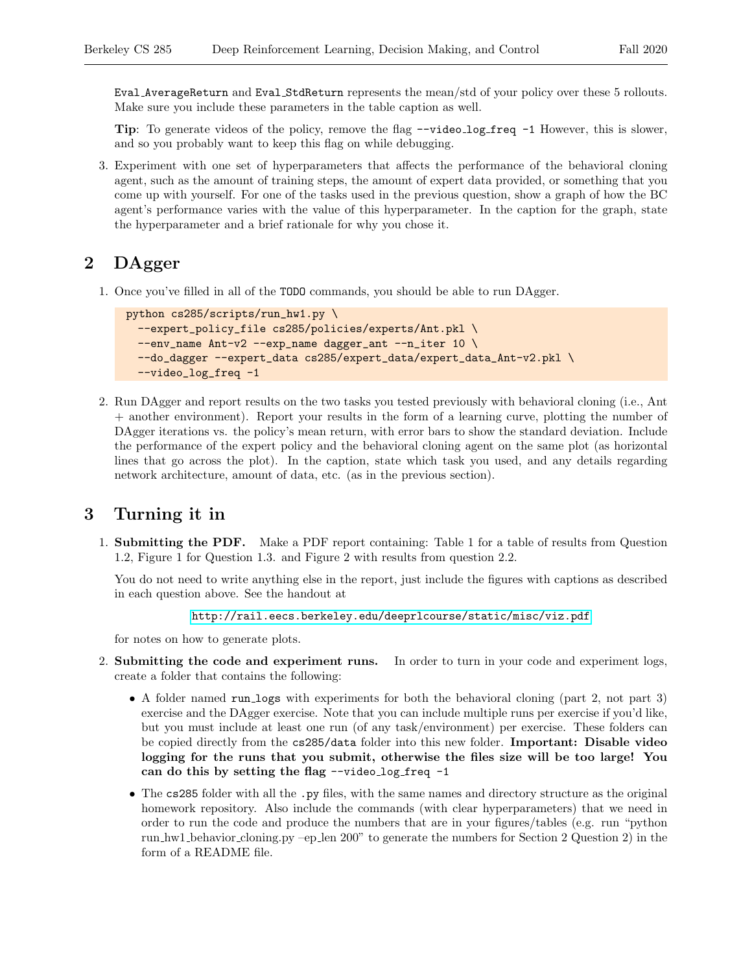Eval AverageReturn and Eval StdReturn represents the mean/std of your policy over these 5 rollouts. Make sure you include these parameters in the table caption as well.

Tip: To generate videos of the policy, remove the flag  $\neg$ -video\_log\_freq  $\neg$ 1 However, this is slower, and so you probably want to keep this flag on while debugging.

3. Experiment with one set of hyperparameters that affects the performance of the behavioral cloning agent, such as the amount of training steps, the amount of expert data provided, or something that you come up with yourself. For one of the tasks used in the previous question, show a graph of how the BC agent's performance varies with the value of this hyperparameter. In the caption for the graph, state the hyperparameter and a brief rationale for why you chose it.

#### 2 DAgger

1. Once you've filled in all of the TODO commands, you should be able to run DAgger.

```
python cs285/scripts/run_hw1.py \
--expert_policy_file cs285/policies/experts/Ant.pkl \
 --env_name Ant-v2 --exp_name dagger_ant --n_iter 10 \
--do_dagger --expert_data cs285/expert_data/expert_data_Ant-v2.pkl \
--video_log_freq -1
```
2. Run DAgger and report results on the two tasks you tested previously with behavioral cloning (i.e., Ant + another environment). Report your results in the form of a learning curve, plotting the number of DAgger iterations vs. the policy's mean return, with error bars to show the standard deviation. Include the performance of the expert policy and the behavioral cloning agent on the same plot (as horizontal lines that go across the plot). In the caption, state which task you used, and any details regarding network architecture, amount of data, etc. (as in the previous section).

## 3 Turning it in

1. Submitting the PDF. Make a PDF report containing: Table 1 for a table of results from Question 1.2, Figure 1 for Question 1.3. and Figure 2 with results from question 2.2.

You do not need to write anything else in the report, just include the figures with captions as described in each question above. See the handout at

```
http://rail.eecs.berkeley.edu/deeprlcourse/static/misc/viz.pdf
```
for notes on how to generate plots.

- 2. Submitting the code and experiment runs. In order to turn in your code and experiment logs, create a folder that contains the following:
	- A folder named run logs with experiments for both the behavioral cloning (part 2, not part 3) exercise and the DAgger exercise. Note that you can include multiple runs per exercise if you'd like, but you must include at least one run (of any task/environment) per exercise. These folders can be copied directly from the cs285/data folder into this new folder. Important: Disable video logging for the runs that you submit, otherwise the files size will be too large! You can do this by setting the flag --video\_log\_freq -1
	- The cs285 folder with all the .py files, with the same names and directory structure as the original homework repository. Also include the commands (with clear hyperparameters) that we need in order to run the code and produce the numbers that are in your figures/tables (e.g. run "python run hw1 behavior cloning.py –ep len 200" to generate the numbers for Section 2 Question 2) in the form of a README file.